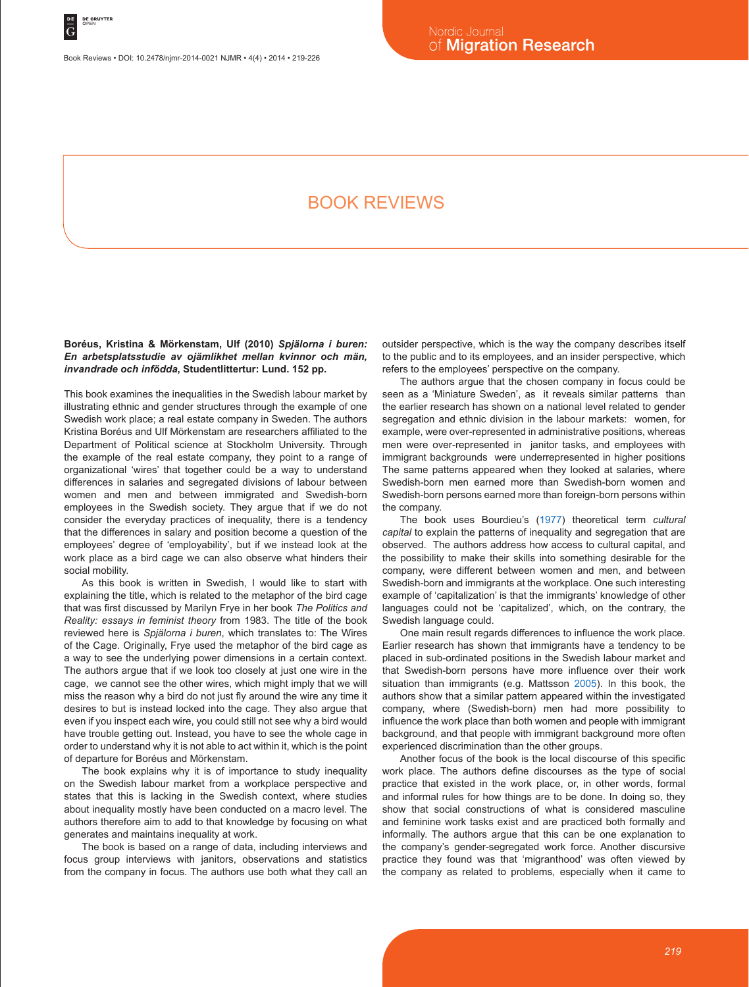# BOOK REVIEWS

**Boréus, Kristina & Mörkenstam, Ulf (2010)** *Spjälorna i buren: En arbetsplatsstudie av ojämlikhet mellan kvinnor och män, invandrade och infödda***, Studentlittertur: Lund. 152 pp.**

This book examines the inequalities in the Swedish labour market by illustrating ethnic and gender structures through the example of one Swedish work place; a real estate company in Sweden. The authors Kristina Boréus and Ulf Mörkenstam are researchers affiliated to the Department of Political science at Stockholm University. Through the example of the real estate company, they point to a range of organizational 'wires' that together could be a way to understand differences in salaries and segregated divisions of labour between women and men and between immigrated and Swedish-born employees in the Swedish society. They argue that if we do not consider the everyday practices of inequality, there is a tendency that the differences in salary and position become a question of the employees' degree of 'employability', but if we instead look at the work place as a bird cage we can also observe what hinders their social mobility.

As this book is written in Swedish, I would like to start with explaining the title, which is related to the metaphor of the bird cage that was first discussed by Marilyn Frye in her book *The Politics and Reality: essays in feminist theory* from 1983. The title of the book reviewed here is *Spjälorna i buren*, which translates to: The Wires of the Cage. Originally, Frye used the metaphor of the bird cage as a way to see the underlying power dimensions in a certain context. The authors argue that if we look too closely at just one wire in the cage, we cannot see the other wires, which might imply that we will miss the reason why a bird do not just fly around the wire any time it desires to but is instead locked into the cage. They also argue that even if you inspect each wire, you could still not see why a bird would have trouble getting out. Instead, you have to see the whole cage in order to understand why it is not able to act within it, which is the point of departure for Boréus and Mörkenstam.

The book explains why it is of importance to study inequality on the Swedish labour market from a workplace perspective and states that this is lacking in the Swedish context, where studies about inequality mostly have been conducted on a macro level. The authors therefore aim to add to that knowledge by focusing on what generates and maintains inequality at work.

The book is based on a range of data, including interviews and focus group interviews with janitors, observations and statistics from the company in focus. The authors use both what they call an outsider perspective, which is the way the company describes itself to the public and to its employees, and an insider perspective, which refers to the employees' perspective on the company.

The authors argue that the chosen company in focus could be seen as a 'Miniature Sweden', as it reveals similar patterns than the earlier research has shown on a national level related to gender segregation and ethnic division in the labour markets: women, for example, were over-represented in administrative positions, whereas men were over-represented in janitor tasks, and employees with immigrant backgrounds were underrepresented in higher positions The same patterns appeared when they looked at salaries, where Swedish-born men earned more than Swedish-born women and Swedish-born persons earned more than foreign-born persons within the company.

The book uses Bourdieu's (1977) theoretical term *cultural capital* to explain the patterns of inequality and segregation that are observed. The authors address how access to cultural capital, and the possibility to make their skills into something desirable for the company, were different between women and men, and between Swedish-born and immigrants at the workplace. One such interesting example of 'capitalization' is that the immigrants' knowledge of other languages could not be 'capitalized', which, on the contrary, the Swedish language could.

One main result regards differences to influence the work place. Earlier research has shown that immigrants have a tendency to be placed in sub-ordinated positions in the Swedish labour market and that Swedish-born persons have more influence over their work situation than immigrants (e.g. Mattsson 2005). In this book, the authors show that a similar pattern appeared within the investigated company, where (Swedish-born) men had more possibility to influence the work place than both women and people with immigrant background, and that people with immigrant background more often experienced discrimination than the other groups.

Another focus of the book is the local discourse of this specific work place. The authors define discourses as the type of social practice that existed in the work place, or, in other words, formal and informal rules for how things are to be done. In doing so, they show that social constructions of what is considered masculine and feminine work tasks exist and are practiced both formally and informally. The authors argue that this can be one explanation to the company's gender-segregated work force. Another discursive practice they found was that 'migranthood' was often viewed by the company as related to problems, especially when it came to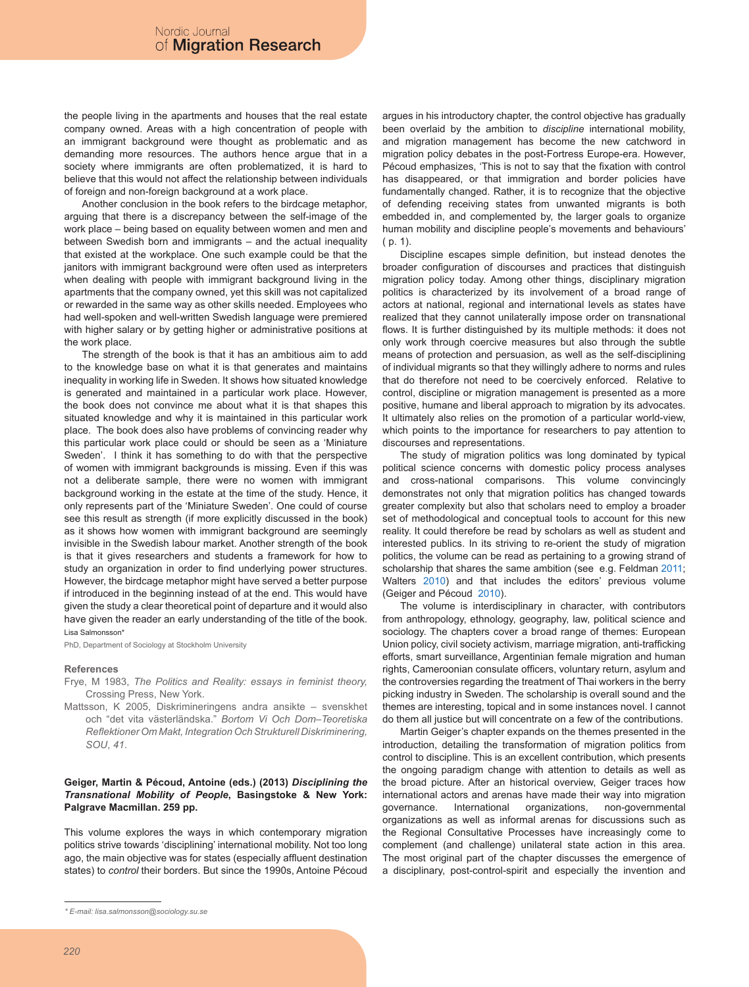the people living in the apartments and houses that the real estate company owned. Areas with a high concentration of people with an immigrant background were thought as problematic and as demanding more resources. The authors hence argue that in a society where immigrants are often problematized, it is hard to believe that this would not affect the relationship between individuals of foreign and non-foreign background at a work place.

Another conclusion in the book refers to the birdcage metaphor, arguing that there is a discrepancy between the self-image of the work place – being based on equality between women and men and between Swedish born and immigrants – and the actual inequality that existed at the workplace. One such example could be that the janitors with immigrant background were often used as interpreters when dealing with people with immigrant background living in the apartments that the company owned, yet this skill was not capitalized or rewarded in the same way as other skills needed. Employees who had well-spoken and well-written Swedish language were premiered with higher salary or by getting higher or administrative positions at the work place.

The strength of the book is that it has an ambitious aim to add to the knowledge base on what it is that generates and maintains inequality in working life in Sweden. It shows how situated knowledge is generated and maintained in a particular work place. However, the book does not convince me about what it is that shapes this situated knowledge and why it is maintained in this particular work place. The book does also have problems of convincing reader why this particular work place could or should be seen as a 'Miniature Sweden'. I think it has something to do with that the perspective of women with immigrant backgrounds is missing. Even if this was not a deliberate sample, there were no women with immigrant background working in the estate at the time of the study. Hence, it only represents part of the 'Miniature Sweden'. One could of course see this result as strength (if more explicitly discussed in the book) as it shows how women with immigrant background are seemingly invisible in the Swedish labour market. Another strength of the book is that it gives researchers and students a framework for how to study an organization in order to find underlying power structures. However, the birdcage metaphor might have served a better purpose if introduced in the beginning instead of at the end. This would have given the study a clear theoretical point of departure and it would also have given the reader an early understanding of the title of the book. Lisa Salmonsson\*

PhD, Department of Sociology at Stockholm University

#### **References**

- Frye, M 1983, *The Politics and Reality: essays in feminist theory,*  Crossing Press, New York.
- Mattsson, K 2005, Diskrimineringens andra ansikte svenskhet och "det vita västerländska." *Bortom Vi Och Dom–Teoretiska Reflektioner Om Makt, Integration Och Strukturell Diskriminering, SOU*, *41*.

## **Geiger, Martin & Pécoud, Antoine (eds.) (2013)** *Disciplining the Transnational Mobility of People***, Basingstoke & New York: Palgrave Macmillan. 259 pp.**

This volume explores the ways in which contemporary migration politics strive towards 'disciplining' international mobility. Not too long ago, the main objective was for states (especially affluent destination states) to *control* their borders. But since the 1990s, Antoine Pécoud argues in his introductory chapter, the control objective has gradually been overlaid by the ambition to *discipline* international mobility, and migration management has become the new catchword in migration policy debates in the post-Fortress Europe-era. However, Pécoud emphasizes, 'This is not to say that the fixation with control has disappeared, or that immigration and border policies have fundamentally changed. Rather, it is to recognize that the objective of defending receiving states from unwanted migrants is both embedded in, and complemented by, the larger goals to organize human mobility and discipline people's movements and behaviours' ( p. 1).

Discipline escapes simple definition, but instead denotes the broader configuration of discourses and practices that distinguish migration policy today. Among other things, disciplinary migration politics is characterized by its involvement of a broad range of actors at national, regional and international levels as states have realized that they cannot unilaterally impose order on transnational flows. It is further distinguished by its multiple methods: it does not only work through coercive measures but also through the subtle means of protection and persuasion, as well as the self-disciplining of individual migrants so that they willingly adhere to norms and rules that do therefore not need to be coercively enforced. Relative to control, discipline or migration management is presented as a more positive, humane and liberal approach to migration by its advocates. It ultimately also relies on the promotion of a particular world-view, which points to the importance for researchers to pay attention to discourses and representations.

The study of migration politics was long dominated by typical political science concerns with domestic policy process analyses and cross-national comparisons. This volume convincingly demonstrates not only that migration politics has changed towards greater complexity but also that scholars need to employ a broader set of methodological and conceptual tools to account for this new reality. It could therefore be read by scholars as well as student and interested publics. In its striving to re-orient the study of migration politics, the volume can be read as pertaining to a growing strand of scholarship that shares the same ambition (see e.g. Feldman 2011; Walters 2010) and that includes the editors' previous volume (Geiger and Pécoud 2010).

The volume is interdisciplinary in character, with contributors from anthropology, ethnology, geography, law, political science and sociology. The chapters cover a broad range of themes: European Union policy, civil society activism, marriage migration, anti-trafficking efforts, smart surveillance, Argentinian female migration and human rights, Cameroonian consulate officers, voluntary return, asylum and the controversies regarding the treatment of Thai workers in the berry picking industry in Sweden. The scholarship is overall sound and the themes are interesting, topical and in some instances novel. I cannot do them all justice but will concentrate on a few of the contributions.

Martin Geiger's chapter expands on the themes presented in the introduction, detailing the transformation of migration politics from control to discipline. This is an excellent contribution, which presents the ongoing paradigm change with attention to details as well as the broad picture. After an historical overview, Geiger traces how international actors and arenas have made their way into migration governance. International organizations, non-governmental organizations as well as informal arenas for discussions such as the Regional Consultative Processes have increasingly come to complement (and challenge) unilateral state action in this area. The most original part of the chapter discusses the emergence of a disciplinary, post-control-spirit and especially the invention and

*<sup>\*</sup> E-mail: lisa.salmonsson@sociology.su.se*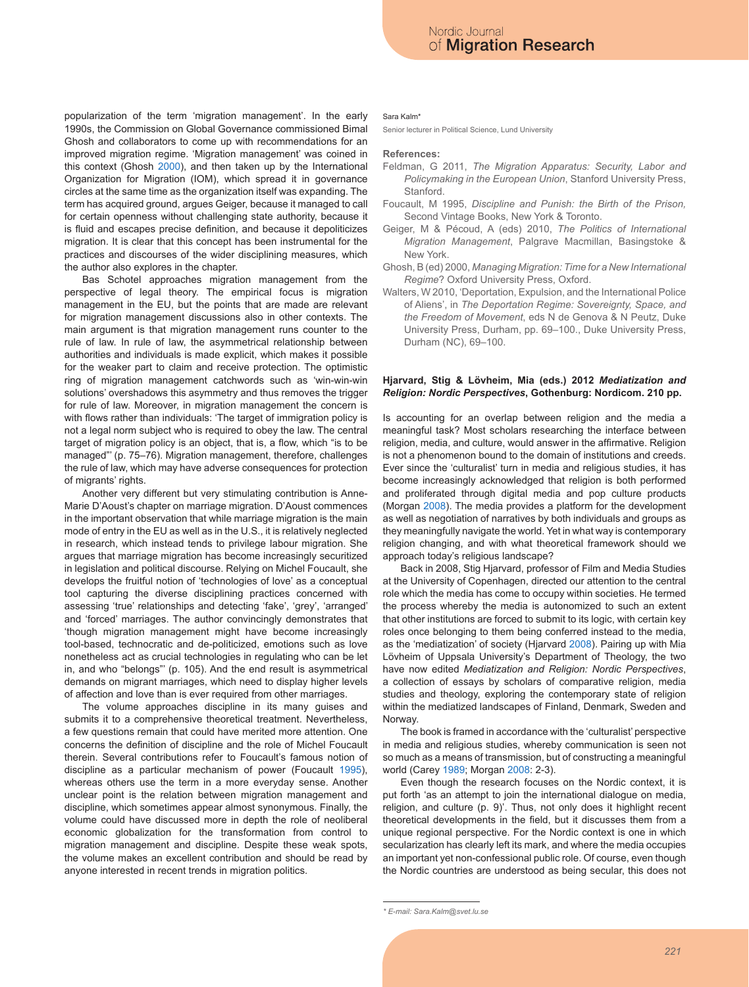popularization of the term 'migration management'. In the early 1990s, the Commission on Global Governance commissioned Bimal Ghosh and collaborators to come up with recommendations for an improved migration regime. 'Migration management' was coined in this context (Ghosh 2000), and then taken up by the International Organization for Migration (IOM), which spread it in governance circles at the same time as the organization itself was expanding. The term has acquired ground, argues Geiger, because it managed to call for certain openness without challenging state authority, because it is fluid and escapes precise definition, and because it depoliticizes migration. It is clear that this concept has been instrumental for the practices and discourses of the wider disciplining measures, which the author also explores in the chapter.

Bas Schotel approaches migration management from the perspective of legal theory. The empirical focus is migration management in the EU, but the points that are made are relevant for migration management discussions also in other contexts. The main argument is that migration management runs counter to the rule of law. In rule of law, the asymmetrical relationship between authorities and individuals is made explicit, which makes it possible for the weaker part to claim and receive protection. The optimistic ring of migration management catchwords such as 'win-win-win solutions' overshadows this asymmetry and thus removes the trigger for rule of law. Moreover, in migration management the concern is with flows rather than individuals: 'The target of immigration policy is not a legal norm subject who is required to obey the law. The central target of migration policy is an object, that is, a flow, which "is to be managed"' (p. 75–76). Migration management, therefore, challenges the rule of law, which may have adverse consequences for protection of migrants' rights.

Another very different but very stimulating contribution is Anne-Marie D'Aoust's chapter on marriage migration. D'Aoust commences in the important observation that while marriage migration is the main mode of entry in the EU as well as in the U.S., it is relatively neglected in research, which instead tends to privilege labour migration. She argues that marriage migration has become increasingly securitized in legislation and political discourse. Relying on Michel Foucault, she develops the fruitful notion of 'technologies of love' as a conceptual tool capturing the diverse disciplining practices concerned with assessing 'true' relationships and detecting 'fake', 'grey', 'arranged' and 'forced' marriages. The author convincingly demonstrates that 'though migration management might have become increasingly tool-based, technocratic and de-politicized, emotions such as love nonetheless act as crucial technologies in regulating who can be let in, and who "belongs"' (p. 105). And the end result is asymmetrical demands on migrant marriages, which need to display higher levels of affection and love than is ever required from other marriages.

The volume approaches discipline in its many guises and submits it to a comprehensive theoretical treatment. Nevertheless, a few questions remain that could have merited more attention. One concerns the definition of discipline and the role of Michel Foucault therein. Several contributions refer to Foucault's famous notion of discipline as a particular mechanism of power (Foucault 1995), whereas others use the term in a more everyday sense. Another unclear point is the relation between migration management and discipline, which sometimes appear almost synonymous. Finally, the volume could have discussed more in depth the role of neoliberal economic globalization for the transformation from control to migration management and discipline. Despite these weak spots, the volume makes an excellent contribution and should be read by anyone interested in recent trends in migration politics.

#### Sara Kalm\*

Senior lecturer in Political Science, Lund University

#### **References:**

- Feldman, G 2011, *The Migration Apparatus: Security, Labor and Policymaking in the European Union*, Stanford University Press, Stanford.
- Foucault, M 1995, *Discipline and Punish: the Birth of the Prison,* Second Vintage Books, New York & Toronto.
- Geiger, M & Pécoud, A (eds) 2010, *The Politics of International Migration Management*, Palgrave Macmillan, Basingstoke & New York.
- Ghosh, B (ed) 2000, *Managing Migration: Time for a New International Regime*? Oxford University Press, Oxford.
- Walters, W 2010, 'Deportation, Expulsion, and the International Police of Aliens', in *The Deportation Regime: Sovereignty, Space, and the Freedom of Movement*, eds N de Genova & N Peutz, Duke University Press, Durham, pp. 69–100., Duke University Press, Durham (NC), 69–100.

## **Hjarvard, Stig & Lövheim, Mia (eds.) 2012** *Mediatization and Religion: Nordic Perspectives***, Gothenburg: Nordicom. 210 pp.**

Is accounting for an overlap between religion and the media a meaningful task? Most scholars researching the interface between religion, media, and culture, would answer in the affirmative. Religion is not a phenomenon bound to the domain of institutions and creeds. Ever since the 'culturalist' turn in media and religious studies, it has become increasingly acknowledged that religion is both performed and proliferated through digital media and pop culture products (Morgan 2008). The media provides a platform for the development as well as negotiation of narratives by both individuals and groups as they meaningfully navigate the world. Yet in what way is contemporary religion changing, and with what theoretical framework should we approach today's religious landscape?

Back in 2008, Stig Hjarvard, professor of Film and Media Studies at the University of Copenhagen, directed our attention to the central role which the media has come to occupy within societies. He termed the process whereby the media is autonomized to such an extent that other institutions are forced to submit to its logic, with certain key roles once belonging to them being conferred instead to the media, as the 'mediatization' of society (Hjarvard 2008). Pairing up with Mia Lövheim of Uppsala University's Department of Theology, the two have now edited *Mediatization and Religion: Nordic Perspectives*, a collection of essays by scholars of comparative religion, media studies and theology, exploring the contemporary state of religion within the mediatized landscapes of Finland, Denmark, Sweden and Norway.

The book is framed in accordance with the 'culturalist' perspective in media and religious studies, whereby communication is seen not so much as a means of transmission, but of constructing a meaningful world (Carey 1989; Morgan 2008: 2-3).

Even though the research focuses on the Nordic context, it is put forth 'as an attempt to join the international dialogue on media, religion, and culture (p. 9)'. Thus, not only does it highlight recent theoretical developments in the field, but it discusses them from a unique regional perspective. For the Nordic context is one in which secularization has clearly left its mark, and where the media occupies an important yet non-confessional public role. Of course, even though the Nordic countries are understood as being secular, this does not

*<sup>\*</sup> E-mail: Sara.Kalm@svet.lu.se*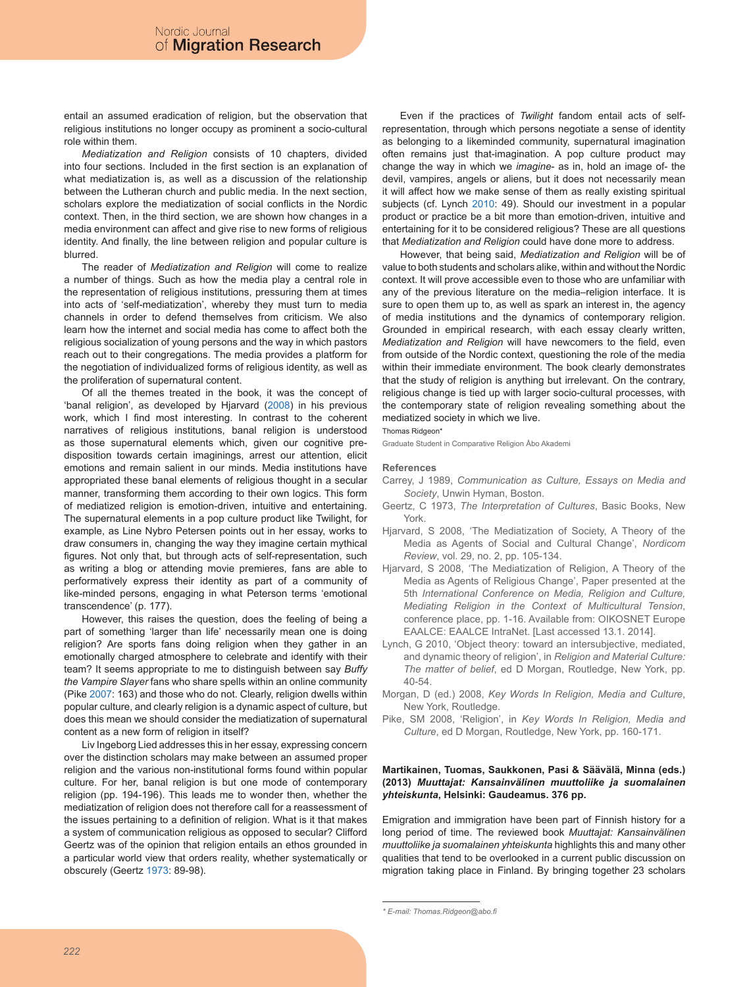entail an assumed eradication of religion, but the observation that religious institutions no longer occupy as prominent a socio-cultural role within them.

*Mediatization and Religion* consists of 10 chapters, divided into four sections. Included in the first section is an explanation of what mediatization is, as well as a discussion of the relationship between the Lutheran church and public media. In the next section, scholars explore the mediatization of social conflicts in the Nordic context. Then, in the third section, we are shown how changes in a media environment can affect and give rise to new forms of religious identity. And finally, the line between religion and popular culture is blurred.

The reader of *Mediatization and Religion* will come to realize a number of things. Such as how the media play a central role in the representation of religious institutions, pressuring them at times into acts of 'self-mediatization', whereby they must turn to media channels in order to defend themselves from criticism. We also learn how the internet and social media has come to affect both the religious socialization of young persons and the way in which pastors reach out to their congregations. The media provides a platform for the negotiation of individualized forms of religious identity, as well as the proliferation of supernatural content.

Of all the themes treated in the book, it was the concept of 'banal religion', as developed by Hjarvard (2008) in his previous work, which I find most interesting. In contrast to the coherent narratives of religious institutions, banal religion is understood as those supernatural elements which, given our cognitive predisposition towards certain imaginings, arrest our attention, elicit emotions and remain salient in our minds. Media institutions have appropriated these banal elements of religious thought in a secular manner, transforming them according to their own logics. This form of mediatized religion is emotion-driven, intuitive and entertaining. The supernatural elements in a pop culture product like Twilight, for example, as Line Nybro Petersen points out in her essay, works to draw consumers in, changing the way they imagine certain mythical figures. Not only that, but through acts of self-representation, such as writing a blog or attending movie premieres, fans are able to performatively express their identity as part of a community of like-minded persons, engaging in what Peterson terms 'emotional transcendence' (p. 177).

However, this raises the question, does the feeling of being a part of something 'larger than life' necessarily mean one is doing religion? Are sports fans doing religion when they gather in an emotionally charged atmosphere to celebrate and identify with their team? It seems appropriate to me to distinguish between say *Buffy the Vampire Slayer* fans who share spells within an online community (Pike 2007: 163) and those who do not. Clearly, religion dwells within popular culture, and clearly religion is a dynamic aspect of culture, but does this mean we should consider the mediatization of supernatural content as a new form of religion in itself?

Liv Ingeborg Lied addresses this in her essay, expressing concern over the distinction scholars may make between an assumed proper religion and the various non-institutional forms found within popular culture. For her, banal religion is but one mode of contemporary religion (pp. 194-196). This leads me to wonder then, whether the mediatization of religion does not therefore call for a reassessment of the issues pertaining to a definition of religion. What is it that makes a system of communication religious as opposed to secular? Clifford Geertz was of the opinion that religion entails an ethos grounded in a particular world view that orders reality, whether systematically or obscurely (Geertz 1973: 89-98).

Even if the practices of *Twilight* fandom entail acts of selfrepresentation, through which persons negotiate a sense of identity as belonging to a likeminded community, supernatural imagination often remains just that-imagination. A pop culture product may change the way in which we *imagine*- as in, hold an image of- the devil, vampires, angels or aliens, but it does not necessarily mean it will affect how we make sense of them as really existing spiritual subjects (cf. Lynch 2010: 49). Should our investment in a popular product or practice be a bit more than emotion-driven, intuitive and entertaining for it to be considered religious? These are all questions that *Mediatization and Religion* could have done more to address.

However, that being said, *Mediatization and Religion* will be of value to both students and scholars alike, within and without the Nordic context. It will prove accessible even to those who are unfamiliar with any of the previous literature on the media–religion interface. It is sure to open them up to, as well as spark an interest in, the agency of media institutions and the dynamics of contemporary religion. Grounded in empirical research, with each essay clearly written, *Mediatization and Religion* will have newcomers to the field, even from outside of the Nordic context, questioning the role of the media within their immediate environment. The book clearly demonstrates that the study of religion is anything but irrelevant. On the contrary, religious change is tied up with larger socio-cultural processes, with the contemporary state of religion revealing something about the mediatized society in which we live.

Thomas Ridgeon\*

Graduate Student in Comparative Religion Åbo Akademi

#### **References**

- Carrey, J 1989, *Communication as Culture, Essays on Media and Society*, Unwin Hyman, Boston.
- Geertz, C 1973, *The Interpretation of Cultures*, Basic Books, New York.
- Hjarvard, S 2008, 'The Mediatization of Society, A Theory of the Media as Agents of Social and Cultural Change', *Nordicom Review*, vol. 29, no. 2, pp. 105-134.
- Hjarvard, S 2008, 'The Mediatization of Religion, A Theory of the Media as Agents of Religious Change', Paper presented at the 5th *International Conference on Media, Religion and Culture, Mediating Religion in the Context of Multicultural Tension*, conference place, pp. 1-16. Available from: OIKOSNET Europe EAALCE: EAALCE IntraNet. [Last accessed 13.1. 2014].
- Lynch, G 2010, 'Object theory: toward an intersubjective, mediated, and dynamic theory of religion', in *Religion and Material Culture: The matter of belief*, ed D Morgan, Routledge, New York, pp. 40-54.
- Morgan, D (ed.) 2008, *Key Words In Religion, Media and Culture*, New York, Routledge.
- Pike, SM 2008, 'Religion', in *Key Words In Religion, Media and Culture*, ed D Morgan, Routledge, New York, pp. 160-171.

## **Martikainen, Tuomas, Saukkonen, Pasi & Säävälä, Minna (eds.) (2013)** *Muuttajat: Kansainvälinen muuttoliike ja suomalainen yhteiskunta***, Helsinki: Gaudeamus. 376 pp.**

Emigration and immigration have been part of Finnish history for a long period of time. The reviewed book *Muuttajat: Kansainvälinen muuttoliike ja suomalainen yhteiskunta* highlights this and many other qualities that tend to be overlooked in a current public discussion on migration taking place in Finland. By bringing together 23 scholars

*<sup>\*</sup> E-mail: Thomas.Ridgeon@abo.fi*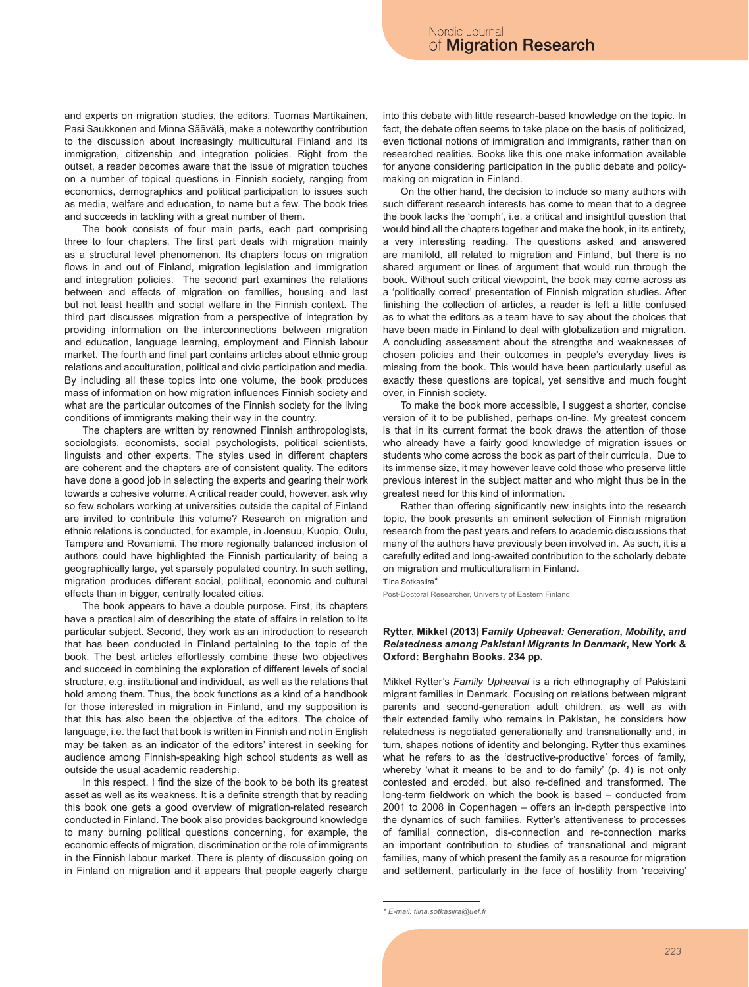and experts on migration studies, the editors, Tuomas Martikainen, Pasi Saukkonen and Minna Säävälä, make a noteworthy contribution to the discussion about increasingly multicultural Finland and its immigration, citizenship and integration policies. Right from the outset, a reader becomes aware that the issue of migration touches on a number of topical questions in Finnish society, ranging from economics, demographics and political participation to issues such as media, welfare and education, to name but a few. The book tries and succeeds in tackling with a great number of them.

The book consists of four main parts, each part comprising three to four chapters. The first part deals with migration mainly as a structural level phenomenon. Its chapters focus on migration flows in and out of Finland, migration legislation and immigration and integration policies. The second part examines the relations between and effects of migration on families, housing and last but not least health and social welfare in the Finnish context. The third part discusses migration from a perspective of integration by providing information on the interconnections between migration and education, language learning, employment and Finnish labour market. The fourth and final part contains articles about ethnic group relations and acculturation, political and civic participation and media. By including all these topics into one volume, the book produces mass of information on how migration influences Finnish society and what are the particular outcomes of the Finnish society for the living conditions of immigrants making their way in the country.

The chapters are written by renowned Finnish anthropologists, sociologists, economists, social psychologists, political scientists, linguists and other experts. The styles used in different chapters are coherent and the chapters are of consistent quality. The editors have done a good job in selecting the experts and gearing their work towards a cohesive volume. A critical reader could, however, ask why so few scholars working at universities outside the capital of Finland are invited to contribute this volume? Research on migration and ethnic relations is conducted, for example, in Joensuu, Kuopio, Oulu, Tampere and Rovaniemi. The more regionally balanced inclusion of authors could have highlighted the Finnish particularity of being a geographically large, yet sparsely populated country. In such setting, migration produces different social, political, economic and cultural effects than in bigger, centrally located cities.

The book appears to have a double purpose. First, its chapters have a practical aim of describing the state of affairs in relation to its particular subject. Second, they work as an introduction to research that has been conducted in Finland pertaining to the topic of the book. The best articles effortlessly combine these two objectives and succeed in combining the exploration of different levels of social structure, e.g. institutional and individual, as well as the relations that hold among them. Thus, the book functions as a kind of a handbook for those interested in migration in Finland, and my supposition is that this has also been the objective of the editors. The choice of language, i.e. the fact that book is written in Finnish and not in English may be taken as an indicator of the editors' interest in seeking for audience among Finnish-speaking high school students as well as outside the usual academic readership.

In this respect, I find the size of the book to be both its greatest asset as well as its weakness. It is a definite strength that by reading this book one gets a good overview of migration-related research conducted in Finland. The book also provides background knowledge to many burning political questions concerning, for example, the economic effects of migration, discrimination or the role of immigrants in the Finnish labour market. There is plenty of discussion going on in Finland on migration and it appears that people eagerly charge into this debate with little research-based knowledge on the topic. In fact, the debate often seems to take place on the basis of politicized, even fictional notions of immigration and immigrants, rather than on researched realities. Books like this one make information available for anyone considering participation in the public debate and policymaking on migration in Finland.

On the other hand, the decision to include so many authors with such different research interests has come to mean that to a degree the book lacks the 'oomph', i.e. a critical and insightful question that would bind all the chapters together and make the book, in its entirety, a very interesting reading. The questions asked and answered are manifold, all related to migration and Finland, but there is no shared argument or lines of argument that would run through the book. Without such critical viewpoint, the book may come across as a 'politically correct' presentation of Finnish migration studies. After finishing the collection of articles, a reader is left a little confused as to what the editors as a team have to say about the choices that have been made in Finland to deal with globalization and migration. A concluding assessment about the strengths and weaknesses of chosen policies and their outcomes in people's everyday lives is missing from the book. This would have been particularly useful as exactly these questions are topical, yet sensitive and much fought over, in Finnish society.

To make the book more accessible, I suggest a shorter, concise version of it to be published, perhaps on-line. My greatest concern is that in its current format the book draws the attention of those who already have a fairly good knowledge of migration issues or students who come across the book as part of their curricula. Due to its immense size, it may however leave cold those who preserve little previous interest in the subject matter and who might thus be in the greatest need for this kind of information.

Rather than offering significantly new insights into the research topic, the book presents an eminent selection of Finnish migration research from the past years and refers to academic discussions that many of the authors have previously been involved in. As such, it is a carefully edited and long-awaited contribution to the scholarly debate on migration and multiculturalism in Finland.

Tiina Sotkasiira\*

Post-Doctoral Researcher, University of Eastern Finland

## **Rytter, Mikkel (2013) F***amily Upheaval: Generation, Mobility, and Relatedness among Pakistani Migrants in Denmark***, New York & Oxford: Berghahn Books. 234 pp.**

Mikkel Rytter's *Family Upheaval* is a rich ethnography of Pakistani migrant families in Denmark. Focusing on relations between migrant parents and second-generation adult children, as well as with their extended family who remains in Pakistan, he considers how relatedness is negotiated generationally and transnationally and, in turn, shapes notions of identity and belonging. Rytter thus examines what he refers to as the 'destructive-productive' forces of family, whereby 'what it means to be and to do family' (p. 4) is not only contested and eroded, but also re-defined and transformed. The long-term fieldwork on which the book is based – conducted from 2001 to 2008 in Copenhagen – offers an in-depth perspective into the dynamics of such families. Rytter's attentiveness to processes of familial connection, dis-connection and re-connection marks an important contribution to studies of transnational and migrant families, many of which present the family as a resource for migration and settlement, particularly in the face of hostility from 'receiving'

*<sup>\*</sup> E-mail: tiina.sotkasiira@uef.fi*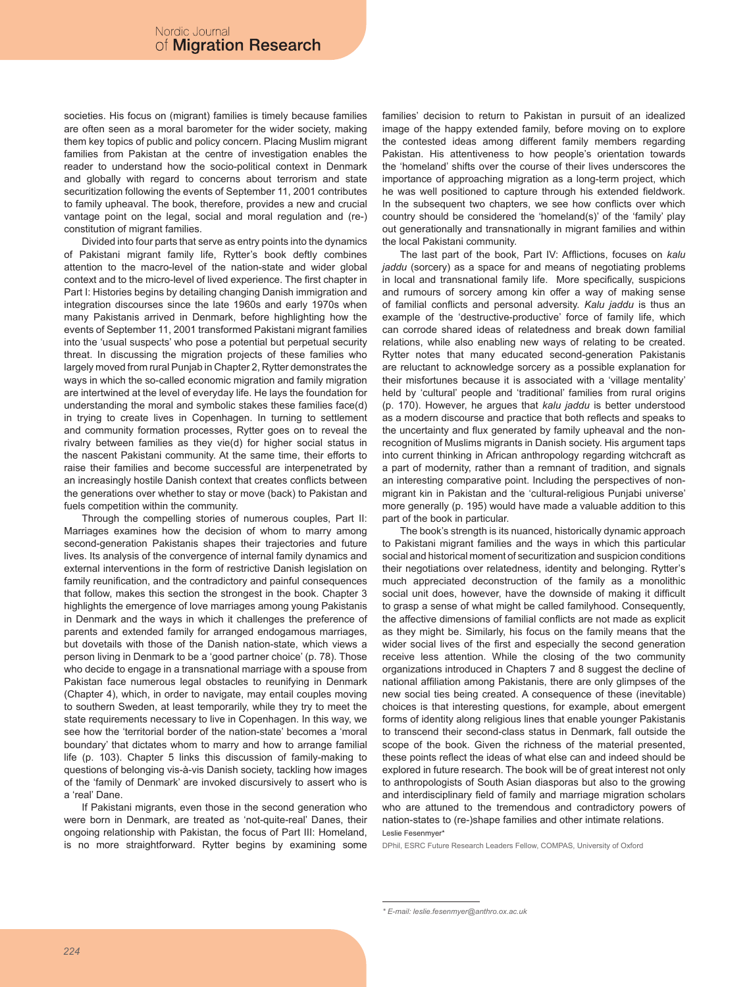societies. His focus on (migrant) families is timely because families are often seen as a moral barometer for the wider society, making them key topics of public and policy concern. Placing Muslim migrant families from Pakistan at the centre of investigation enables the reader to understand how the socio-political context in Denmark and globally with regard to concerns about terrorism and state securitization following the events of September 11, 2001 contributes to family upheaval. The book, therefore, provides a new and crucial vantage point on the legal, social and moral regulation and (re-) constitution of migrant families.

Divided into four parts that serve as entry points into the dynamics of Pakistani migrant family life, Rytter's book deftly combines attention to the macro-level of the nation-state and wider global context and to the micro-level of lived experience. The first chapter in Part I: Histories begins by detailing changing Danish immigration and integration discourses since the late 1960s and early 1970s when many Pakistanis arrived in Denmark, before highlighting how the events of September 11, 2001 transformed Pakistani migrant families into the 'usual suspects' who pose a potential but perpetual security threat. In discussing the migration projects of these families who largely moved from rural Punjab in Chapter 2, Rytter demonstrates the ways in which the so-called economic migration and family migration are intertwined at the level of everyday life. He lays the foundation for understanding the moral and symbolic stakes these families face(d) in trying to create lives in Copenhagen. In turning to settlement and community formation processes, Rytter goes on to reveal the rivalry between families as they vie(d) for higher social status in the nascent Pakistani community. At the same time, their efforts to raise their families and become successful are interpenetrated by an increasingly hostile Danish context that creates conflicts between the generations over whether to stay or move (back) to Pakistan and fuels competition within the community.

Through the compelling stories of numerous couples, Part II: Marriages examines how the decision of whom to marry among second-generation Pakistanis shapes their trajectories and future lives. Its analysis of the convergence of internal family dynamics and external interventions in the form of restrictive Danish legislation on family reunification, and the contradictory and painful consequences that follow, makes this section the strongest in the book. Chapter 3 highlights the emergence of love marriages among young Pakistanis in Denmark and the ways in which it challenges the preference of parents and extended family for arranged endogamous marriages, but dovetails with those of the Danish nation-state, which views a person living in Denmark to be a 'good partner choice' (p. 78). Those who decide to engage in a transnational marriage with a spouse from Pakistan face numerous legal obstacles to reunifying in Denmark (Chapter 4), which, in order to navigate, may entail couples moving to southern Sweden, at least temporarily, while they try to meet the state requirements necessary to live in Copenhagen. In this way, we see how the 'territorial border of the nation-state' becomes a 'moral boundary' that dictates whom to marry and how to arrange familial life (p. 103). Chapter 5 links this discussion of family-making to questions of belonging vis-à-vis Danish society, tackling how images of the 'family of Denmark' are invoked discursively to assert who is a 'real' Dane.

If Pakistani migrants, even those in the second generation who were born in Denmark, are treated as 'not-quite-real' Danes, their ongoing relationship with Pakistan, the focus of Part III: Homeland, is no more straightforward. Rytter begins by examining some families' decision to return to Pakistan in pursuit of an idealized image of the happy extended family, before moving on to explore the contested ideas among different family members regarding Pakistan. His attentiveness to how people's orientation towards the 'homeland' shifts over the course of their lives underscores the importance of approaching migration as a long-term project, which he was well positioned to capture through his extended fieldwork. In the subsequent two chapters, we see how conflicts over which country should be considered the 'homeland(s)' of the 'family' play out generationally and transnationally in migrant families and within the local Pakistani community.

The last part of the book, Part IV: Afflictions, focuses on *kalu jaddu* (sorcery) as a space for and means of negotiating problems in local and transnational family life. More specifically, suspicions and rumours of sorcery among kin offer a way of making sense of familial conflicts and personal adversity. *Kalu jaddu* is thus an example of the 'destructive-productive' force of family life, which can corrode shared ideas of relatedness and break down familial relations, while also enabling new ways of relating to be created. Rytter notes that many educated second-generation Pakistanis are reluctant to acknowledge sorcery as a possible explanation for their misfortunes because it is associated with a 'village mentality' held by 'cultural' people and 'traditional' families from rural origins (p. 170). However, he argues that *kalu jaddu* is better understood as a modern discourse and practice that both reflects and speaks to the uncertainty and flux generated by family upheaval and the nonrecognition of Muslims migrants in Danish society. His argument taps into current thinking in African anthropology regarding witchcraft as a part of modernity, rather than a remnant of tradition, and signals an interesting comparative point. Including the perspectives of nonmigrant kin in Pakistan and the 'cultural-religious Punjabi universe' more generally (p. 195) would have made a valuable addition to this part of the book in particular.

The book's strength is its nuanced, historically dynamic approach to Pakistani migrant families and the ways in which this particular social and historical moment of securitization and suspicion conditions their negotiations over relatedness, identity and belonging. Rytter's much appreciated deconstruction of the family as a monolithic social unit does, however, have the downside of making it difficult to grasp a sense of what might be called familyhood. Consequently, the affective dimensions of familial conflicts are not made as explicit as they might be. Similarly, his focus on the family means that the wider social lives of the first and especially the second generation receive less attention. While the closing of the two community organizations introduced in Chapters 7 and 8 suggest the decline of national affiliation among Pakistanis, there are only glimpses of the new social ties being created. A consequence of these (inevitable) choices is that interesting questions, for example, about emergent forms of identity along religious lines that enable younger Pakistanis to transcend their second-class status in Denmark, fall outside the scope of the book. Given the richness of the material presented, these points reflect the ideas of what else can and indeed should be explored in future research. The book will be of great interest not only to anthropologists of South Asian diasporas but also to the growing and interdisciplinary field of family and marriage migration scholars who are attuned to the tremendous and contradictory powers of nation-states to (re-)shape families and other intimate relations. Leslie Fesenmyer\*

DPhil, ESRC Future Research Leaders Fellow, COMPAS, University of Oxford

*<sup>\*</sup> E-mail: leslie.fesenmyer@anthro.ox.ac.uk*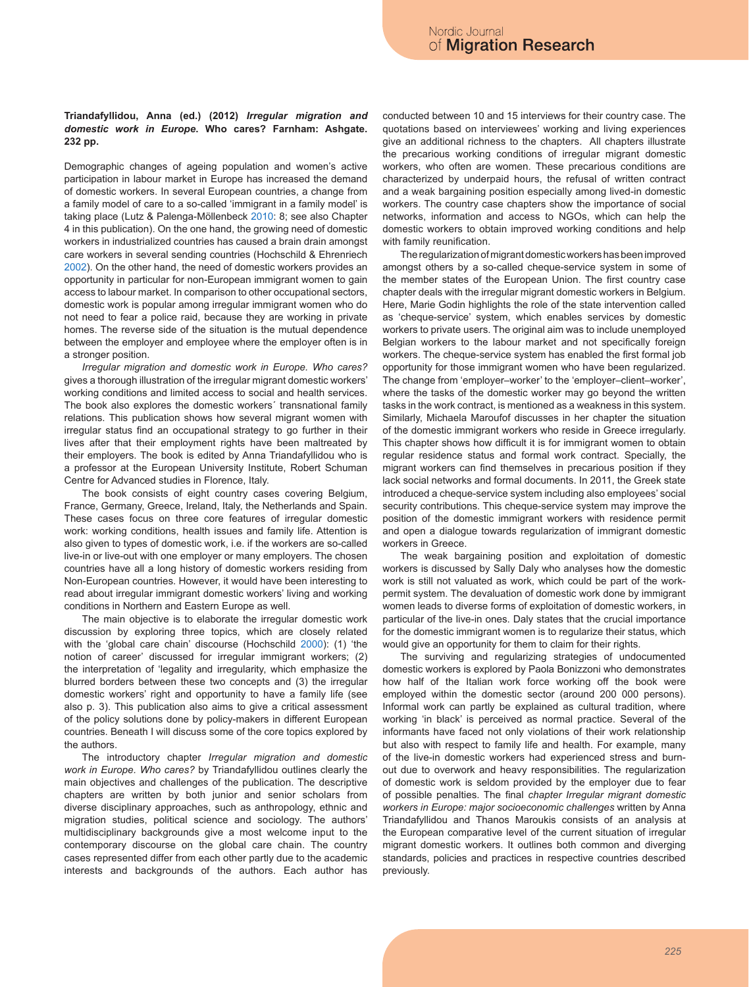## **Triandafyllidou, Anna (ed.) (2012)** *Irregular migration and domestic work in Europe***. Who cares? Farnham: Ashgate. 232 pp.**

Demographic changes of ageing population and women's active participation in labour market in Europe has increased the demand of domestic workers. In several European countries, a change from a family model of care to a so-called 'immigrant in a family model' is taking place (Lutz & Palenga-Möllenbeck 2010: 8; see also Chapter 4 in this publication). On the one hand, the growing need of domestic workers in industrialized countries has caused a brain drain amongst care workers in several sending countries (Hochschild & Ehrenriech 2002). On the other hand, the need of domestic workers provides an opportunity in particular for non-European immigrant women to gain access to labour market. In comparison to other occupational sectors, domestic work is popular among irregular immigrant women who do not need to fear a police raid, because they are working in private homes. The reverse side of the situation is the mutual dependence between the employer and employee where the employer often is in a stronger position.

*Irregular migration and domestic work in Europe. Who cares?* gives a thorough illustration of the irregular migrant domestic workers' working conditions and limited access to social and health services. The book also explores the domestic workers´ transnational family relations. This publication shows how several migrant women with irregular status find an occupational strategy to go further in their lives after that their employment rights have been maltreated by their employers. The book is edited by Anna Triandafyllidou who is a professor at the European University Institute, Robert Schuman Centre for Advanced studies in Florence, Italy.

The book consists of eight country cases covering Belgium, France, Germany, Greece, Ireland, Italy, the Netherlands and Spain. These cases focus on three core features of irregular domestic work: working conditions, health issues and family life. Attention is also given to types of domestic work, i.e. if the workers are so-called live-in or live-out with one employer or many employers. The chosen countries have all a long history of domestic workers residing from Non-European countries. However, it would have been interesting to read about irregular immigrant domestic workers' living and working conditions in Northern and Eastern Europe as well.

The main objective is to elaborate the irregular domestic work discussion by exploring three topics, which are closely related with the 'global care chain' discourse (Hochschild 2000): (1) 'the notion of career' discussed for irregular immigrant workers; (2) the interpretation of 'legality and irregularity, which emphasize the blurred borders between these two concepts and (3) the irregular domestic workers' right and opportunity to have a family life (see also p. 3). This publication also aims to give a critical assessment of the policy solutions done by policy-makers in different European countries. Beneath I will discuss some of the core topics explored by the authors.

The introductory chapter *Irregular migration and domestic work in Europe. Who cares?* by Triandafyllidou outlines clearly the main objectives and challenges of the publication. The descriptive chapters are written by both junior and senior scholars from diverse disciplinary approaches, such as anthropology, ethnic and migration studies, political science and sociology. The authors' multidisciplinary backgrounds give a most welcome input to the contemporary discourse on the global care chain. The country cases represented differ from each other partly due to the academic interests and backgrounds of the authors. Each author has

conducted between 10 and 15 interviews for their country case. The quotations based on interviewees' working and living experiences give an additional richness to the chapters. All chapters illustrate the precarious working conditions of irregular migrant domestic workers, who often are women. These precarious conditions are characterized by underpaid hours, the refusal of written contract and a weak bargaining position especially among lived-in domestic workers. The country case chapters show the importance of social networks, information and access to NGOs, which can help the domestic workers to obtain improved working conditions and help with family reunification.

The regularization of migrant domestic workers has been improved amongst others by a so-called cheque-service system in some of the member states of the European Union. The first country case chapter deals with the irregular migrant domestic workers in Belgium. Here, Marie Godin highlights the role of the state intervention called as 'cheque-service' system, which enables services by domestic workers to private users. The original aim was to include unemployed Belgian workers to the labour market and not specifically foreign workers. The cheque-service system has enabled the first formal job opportunity for those immigrant women who have been regularized. The change from 'employer–worker' to the 'employer–client–worker', where the tasks of the domestic worker may go beyond the written tasks in the work contract, is mentioned as a weakness in this system. Similarly, Michaela Maroufof discusses in her chapter the situation of the domestic immigrant workers who reside in Greece irregularly. This chapter shows how difficult it is for immigrant women to obtain regular residence status and formal work contract. Specially, the migrant workers can find themselves in precarious position if they lack social networks and formal documents. In 2011, the Greek state introduced a cheque-service system including also employees' social security contributions. This cheque-service system may improve the position of the domestic immigrant workers with residence permit and open a dialogue towards regularization of immigrant domestic workers in Greece.

The weak bargaining position and exploitation of domestic workers is discussed by Sally Daly who analyses how the domestic work is still not valuated as work, which could be part of the workpermit system. The devaluation of domestic work done by immigrant women leads to diverse forms of exploitation of domestic workers, in particular of the live-in ones. Daly states that the crucial importance for the domestic immigrant women is to regularize their status, which would give an opportunity for them to claim for their rights.

The surviving and regularizing strategies of undocumented domestic workers is explored by Paola Bonizzoni who demonstrates how half of the Italian work force working off the book were employed within the domestic sector (around 200 000 persons). Informal work can partly be explained as cultural tradition, where working 'in black' is perceived as normal practice. Several of the informants have faced not only violations of their work relationship but also with respect to family life and health. For example, many of the live-in domestic workers had experienced stress and burnout due to overwork and heavy responsibilities. The regularization of domestic work is seldom provided by the employer due to fear of possible penalties. The final *chapter Irregular migrant domestic workers in Europe: major socioeconomic challenges* written by Anna Triandafyllidou and Thanos Maroukis consists of an analysis at the European comparative level of the current situation of irregular migrant domestic workers. It outlines both common and diverging standards, policies and practices in respective countries described previously.